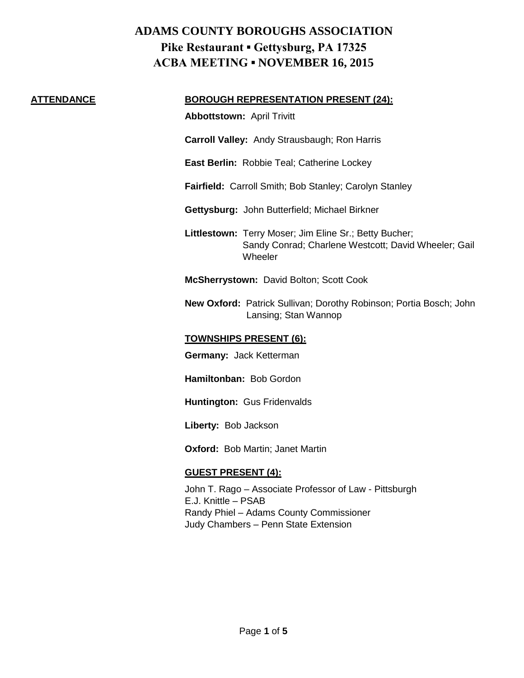#### **ATTENDANCE BOROUGH REPRESENTATION PRESENT (24):**

**Abbottstown:** April Trivitt

**Carroll Valley:** Andy Strausbaugh; Ron Harris

**East Berlin:** Robbie Teal; Catherine Lockey

**Fairfield:** Carroll Smith; Bob Stanley; Carolyn Stanley

**Gettysburg:** John Butterfield; Michael Birkner

**Littlestown:** Terry Moser; Jim Eline Sr.; Betty Bucher; Sandy Conrad; Charlene Westcott; David Wheeler; Gail **Wheeler** 

**McSherrystown:** David Bolton; Scott Cook

**New Oxford:** Patrick Sullivan; Dorothy Robinson; Portia Bosch; John Lansing; Stan Wannop

### **TOWNSHIPS PRESENT (6):**

**Germany:** Jack Ketterman

**Hamiltonban:** Bob Gordon

**Huntington:** Gus Fridenvalds

**Liberty:** Bob Jackson

**Oxford:** Bob Martin; Janet Martin

## **GUEST PRESENT (4):**

John T. Rago – Associate Professor of Law - Pittsburgh E.J. Knittle – PSAB Randy Phiel – Adams County Commissioner Judy Chambers – Penn State Extension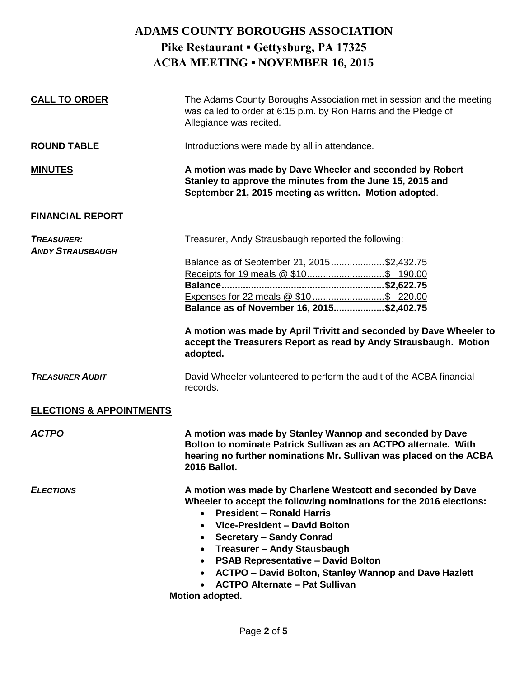| <b>CALL TO ORDER</b>                         | The Adams County Boroughs Association met in session and the meeting<br>was called to order at 6:15 p.m. by Ron Harris and the Pledge of<br>Allegiance was recited.                                                                                                                                                                                                                                                                                                                                    |
|----------------------------------------------|--------------------------------------------------------------------------------------------------------------------------------------------------------------------------------------------------------------------------------------------------------------------------------------------------------------------------------------------------------------------------------------------------------------------------------------------------------------------------------------------------------|
| <b>ROUND TABLE</b>                           | Introductions were made by all in attendance.                                                                                                                                                                                                                                                                                                                                                                                                                                                          |
| <b>MINUTES</b>                               | A motion was made by Dave Wheeler and seconded by Robert<br>Stanley to approve the minutes from the June 15, 2015 and<br>September 21, 2015 meeting as written. Motion adopted.                                                                                                                                                                                                                                                                                                                        |
| <b>FINANCIAL REPORT</b>                      |                                                                                                                                                                                                                                                                                                                                                                                                                                                                                                        |
| <b>TREASURER:</b><br><b>ANDY STRAUSBAUGH</b> | Treasurer, Andy Strausbaugh reported the following:                                                                                                                                                                                                                                                                                                                                                                                                                                                    |
|                                              | Balance as of September 21, 2015\$2,432.75<br>Expenses for 22 meals @ \$10 \$ 220.00<br>Balance as of November 16, 2015\$2,402.75<br>A motion was made by April Trivitt and seconded by Dave Wheeler to<br>accept the Treasurers Report as read by Andy Strausbaugh. Motion<br>adopted.                                                                                                                                                                                                                |
| <b>TREASURER AUDIT</b>                       | David Wheeler volunteered to perform the audit of the ACBA financial<br>records.                                                                                                                                                                                                                                                                                                                                                                                                                       |
| <b>ELECTIONS &amp; APPOINTMENTS</b>          |                                                                                                                                                                                                                                                                                                                                                                                                                                                                                                        |
| <b>ACTPO</b>                                 | A motion was made by Stanley Wannop and seconded by Dave<br>Bolton to nominate Patrick Sullivan as an ACTPO alternate. With<br>hearing no further nominations Mr. Sullivan was placed on the ACBA<br>2016 Ballot.                                                                                                                                                                                                                                                                                      |
| <b>ELECTIONS</b>                             | A motion was made by Charlene Westcott and seconded by Dave<br>Wheeler to accept the following nominations for the 2016 elections:<br><b>President - Ronald Harris</b><br>$\bullet$<br>Vice-President - David Bolton<br>$\bullet$<br><b>Secretary - Sandy Conrad</b><br>$\bullet$<br>Treasurer - Andy Stausbaugh<br>$\bullet$<br><b>PSAB Representative - David Bolton</b><br><b>ACTPO - David Bolton, Stanley Wannop and Dave Hazlett</b><br><b>ACTPO Alternate - Pat Sullivan</b><br>Motion adopted. |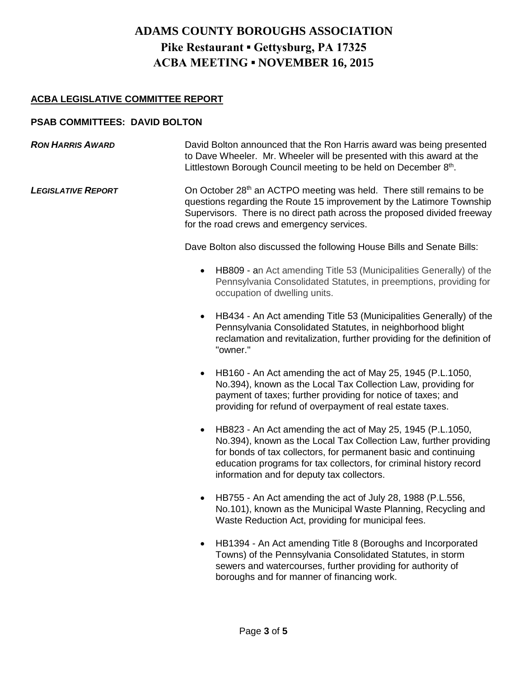## **ACBA LEGISLATIVE COMMITTEE REPORT**

### **PSAB COMMITTEES: DAVID BOLTON**

- **RON HARRIS AWARD** David Bolton announced that the Ron Harris award was being presented to Dave Wheeler. Mr. Wheeler will be presented with this award at the Littlestown Borough Council meeting to be held on December 8<sup>th</sup>.
- **LEGISLATIVE REPORT** On October 28<sup>th</sup> an ACTPO meeting was held. There still remains to be questions regarding the Route 15 improvement by the Latimore Township Supervisors. There is no direct path across the proposed divided freeway for the road crews and emergency services.

Dave Bolton also discussed the following House Bills and Senate Bills:

- HB809 an Act amending Title 53 (Municipalities Generally) of the Pennsylvania Consolidated Statutes, in preemptions, providing for occupation of dwelling units.
- HB434 An Act amending Title 53 (Municipalities Generally) of the Pennsylvania Consolidated Statutes, in neighborhood blight reclamation and revitalization, further providing for the definition of "owner."
- HB160 An Act amending the act of May 25, 1945 (P.L.1050, No.394), known as the Local Tax Collection Law, providing for payment of taxes; further providing for notice of taxes; and providing for refund of overpayment of real estate taxes.
- HB823 An Act amending the act of May 25, 1945 (P.L.1050, No.394), known as the Local Tax Collection Law, further providing for bonds of tax collectors, for permanent basic and continuing education programs for tax collectors, for criminal history record information and for deputy tax collectors.
- HB755 An Act amending the act of July 28, 1988 (P.L.556, No.101), known as the Municipal Waste Planning, Recycling and Waste Reduction Act, providing for municipal fees.
- HB1394 An Act amending Title 8 (Boroughs and Incorporated Towns) of the Pennsylvania Consolidated Statutes, in storm sewers and watercourses, further providing for authority of boroughs and for manner of financing work.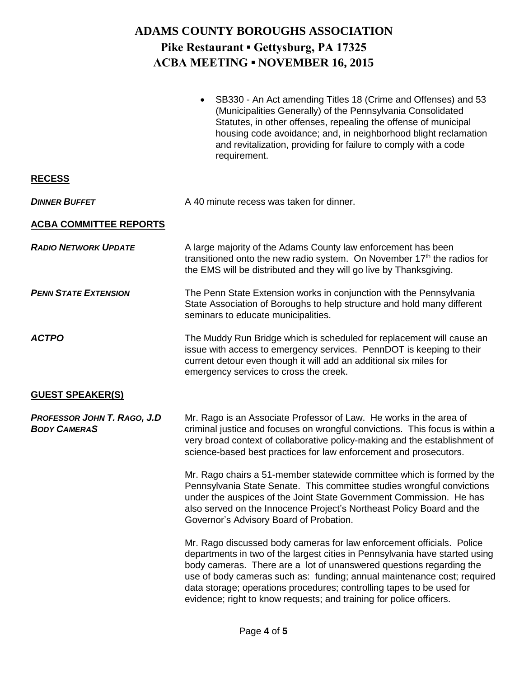|                                                           | SB330 - An Act amending Titles 18 (Crime and Offenses) and 53<br>$\bullet$<br>(Municipalities Generally) of the Pennsylvania Consolidated<br>Statutes, in other offenses, repealing the offense of municipal<br>housing code avoidance; and, in neighborhood blight reclamation<br>and revitalization, providing for failure to comply with a code<br>requirement.                                                                                     |
|-----------------------------------------------------------|--------------------------------------------------------------------------------------------------------------------------------------------------------------------------------------------------------------------------------------------------------------------------------------------------------------------------------------------------------------------------------------------------------------------------------------------------------|
| <b>RECESS</b>                                             |                                                                                                                                                                                                                                                                                                                                                                                                                                                        |
| <b>DINNER BUFFET</b>                                      | A 40 minute recess was taken for dinner.                                                                                                                                                                                                                                                                                                                                                                                                               |
| <b>ACBA COMMITTEE REPORTS</b>                             |                                                                                                                                                                                                                                                                                                                                                                                                                                                        |
| <b>RADIO NETWORK UPDATE</b>                               | A large majority of the Adams County law enforcement has been<br>transitioned onto the new radio system. On November $17th$ the radios for<br>the EMS will be distributed and they will go live by Thanksgiving.                                                                                                                                                                                                                                       |
| <b>PENN STATE EXTENSION</b>                               | The Penn State Extension works in conjunction with the Pennsylvania<br>State Association of Boroughs to help structure and hold many different<br>seminars to educate municipalities.                                                                                                                                                                                                                                                                  |
| <b>ACTPO</b>                                              | The Muddy Run Bridge which is scheduled for replacement will cause an<br>issue with access to emergency services. PennDOT is keeping to their<br>current detour even though it will add an additional six miles for<br>emergency services to cross the creek.                                                                                                                                                                                          |
| <b>GUEST SPEAKER(S)</b>                                   |                                                                                                                                                                                                                                                                                                                                                                                                                                                        |
| <b>PROFESSOR JOHN T. RAGO, J.D</b><br><b>BODY CAMERAS</b> | Mr. Rago is an Associate Professor of Law. He works in the area of<br>criminal justice and focuses on wrongful convictions. This focus is within a<br>very broad context of collaborative policy-making and the establishment of<br>science-based best practices for law enforcement and prosecutors.                                                                                                                                                  |
|                                                           | Mr. Rago chairs a 51-member statewide committee which is formed by the<br>Pennsylvania State Senate. This committee studies wrongful convictions<br>under the auspices of the Joint State Government Commission. He has<br>also served on the Innocence Project's Northeast Policy Board and the<br>Governor's Advisory Board of Probation.                                                                                                            |
|                                                           | Mr. Rago discussed body cameras for law enforcement officials. Police<br>departments in two of the largest cities in Pennsylvania have started using<br>body cameras. There are a lot of unanswered questions regarding the<br>use of body cameras such as: funding; annual maintenance cost; required<br>data storage; operations procedures; controlling tapes to be used for<br>evidence; right to know requests; and training for police officers. |